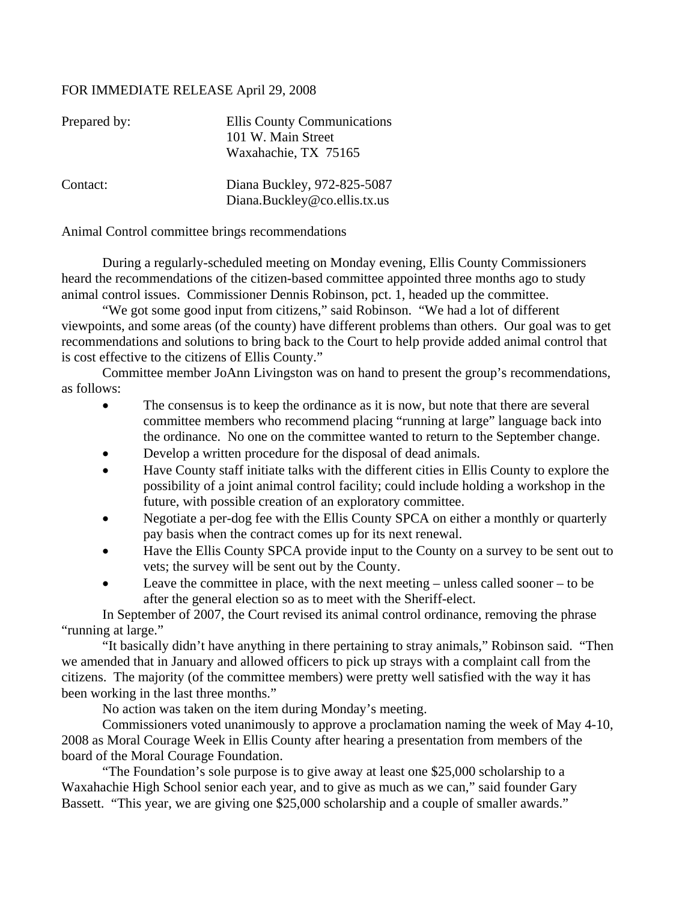## FOR IMMEDIATE RELEASE April 29, 2008

| Prepared by: | <b>Ellis County Communications</b><br>101 W. Main Street    |
|--------------|-------------------------------------------------------------|
|              | Waxahachie, TX 75165                                        |
| Contact:     | Diana Buckley, 972-825-5087<br>Diana.Buckley@co.ellis.tx.us |

Animal Control committee brings recommendations

During a regularly-scheduled meeting on Monday evening, Ellis County Commissioners heard the recommendations of the citizen-based committee appointed three months ago to study animal control issues. Commissioner Dennis Robinson, pct. 1, headed up the committee.

 "We got some good input from citizens," said Robinson. "We had a lot of different viewpoints, and some areas (of the county) have different problems than others. Our goal was to get recommendations and solutions to bring back to the Court to help provide added animal control that is cost effective to the citizens of Ellis County."

 Committee member JoAnn Livingston was on hand to present the group's recommendations, as follows:

- The consensus is to keep the ordinance as it is now, but note that there are several committee members who recommend placing "running at large" language back into the ordinance. No one on the committee wanted to return to the September change.
- Develop a written procedure for the disposal of dead animals.
- Have County staff initiate talks with the different cities in Ellis County to explore the possibility of a joint animal control facility; could include holding a workshop in the future, with possible creation of an exploratory committee.
- Negotiate a per-dog fee with the Ellis County SPCA on either a monthly or quarterly pay basis when the contract comes up for its next renewal.
- Have the Ellis County SPCA provide input to the County on a survey to be sent out to vets; the survey will be sent out by the County.
- Leave the committee in place, with the next meeting unless called sooner to be after the general election so as to meet with the Sheriff-elect.

In September of 2007, the Court revised its animal control ordinance, removing the phrase "running at large."

"It basically didn't have anything in there pertaining to stray animals," Robinson said. "Then we amended that in January and allowed officers to pick up strays with a complaint call from the citizens. The majority (of the committee members) were pretty well satisfied with the way it has been working in the last three months."

No action was taken on the item during Monday's meeting.

Commissioners voted unanimously to approve a proclamation naming the week of May 4-10, 2008 as Moral Courage Week in Ellis County after hearing a presentation from members of the board of the Moral Courage Foundation.

"The Foundation's sole purpose is to give away at least one \$25,000 scholarship to a Waxahachie High School senior each year, and to give as much as we can," said founder Gary Bassett. "This year, we are giving one \$25,000 scholarship and a couple of smaller awards."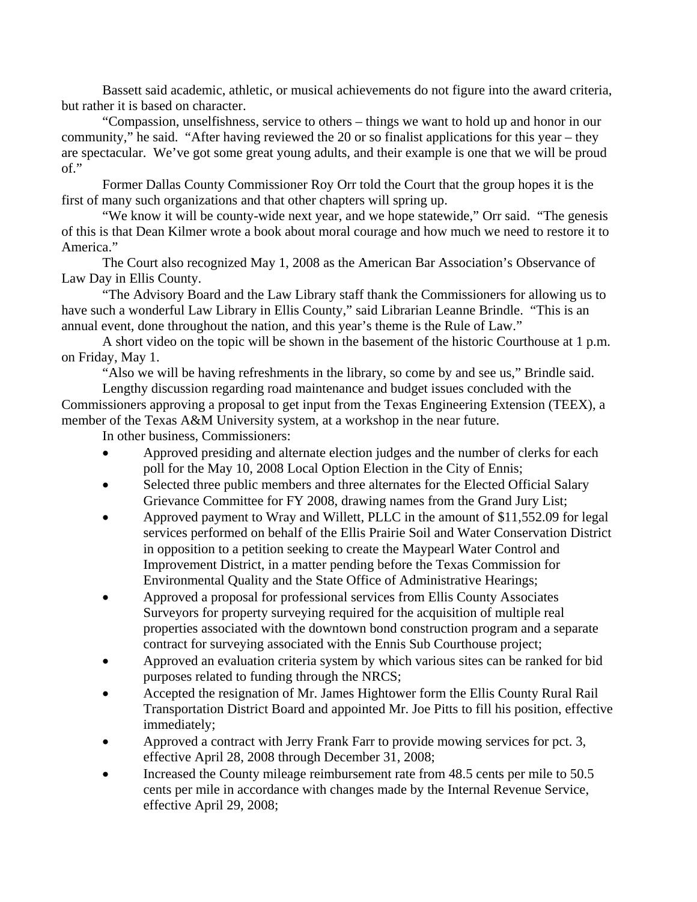Bassett said academic, athletic, or musical achievements do not figure into the award criteria, but rather it is based on character.

"Compassion, unselfishness, service to others – things we want to hold up and honor in our community," he said. "After having reviewed the 20 or so finalist applications for this year – they are spectacular. We've got some great young adults, and their example is one that we will be proud of."

Former Dallas County Commissioner Roy Orr told the Court that the group hopes it is the first of many such organizations and that other chapters will spring up.

"We know it will be county-wide next year, and we hope statewide," Orr said. "The genesis of this is that Dean Kilmer wrote a book about moral courage and how much we need to restore it to America."

The Court also recognized May 1, 2008 as the American Bar Association's Observance of Law Day in Ellis County.

"The Advisory Board and the Law Library staff thank the Commissioners for allowing us to have such a wonderful Law Library in Ellis County," said Librarian Leanne Brindle. "This is an annual event, done throughout the nation, and this year's theme is the Rule of Law."

A short video on the topic will be shown in the basement of the historic Courthouse at 1 p.m. on Friday, May 1.

"Also we will be having refreshments in the library, so come by and see us," Brindle said. Lengthy discussion regarding road maintenance and budget issues concluded with the

Commissioners approving a proposal to get input from the Texas Engineering Extension (TEEX), a member of the Texas A&M University system, at a workshop in the near future.

In other business, Commissioners:

- Approved presiding and alternate election judges and the number of clerks for each poll for the May 10, 2008 Local Option Election in the City of Ennis;
- Selected three public members and three alternates for the Elected Official Salary Grievance Committee for FY 2008, drawing names from the Grand Jury List;
- Approved payment to Wray and Willett, PLLC in the amount of \$11,552.09 for legal services performed on behalf of the Ellis Prairie Soil and Water Conservation District in opposition to a petition seeking to create the Maypearl Water Control and Improvement District, in a matter pending before the Texas Commission for Environmental Quality and the State Office of Administrative Hearings;
- Approved a proposal for professional services from Ellis County Associates Surveyors for property surveying required for the acquisition of multiple real properties associated with the downtown bond construction program and a separate contract for surveying associated with the Ennis Sub Courthouse project;
- Approved an evaluation criteria system by which various sites can be ranked for bid purposes related to funding through the NRCS;
- Accepted the resignation of Mr. James Hightower form the Ellis County Rural Rail Transportation District Board and appointed Mr. Joe Pitts to fill his position, effective immediately;
- Approved a contract with Jerry Frank Farr to provide mowing services for pct. 3, effective April 28, 2008 through December 31, 2008;
- Increased the County mileage reimbursement rate from 48.5 cents per mile to 50.5 cents per mile in accordance with changes made by the Internal Revenue Service, effective April 29, 2008;